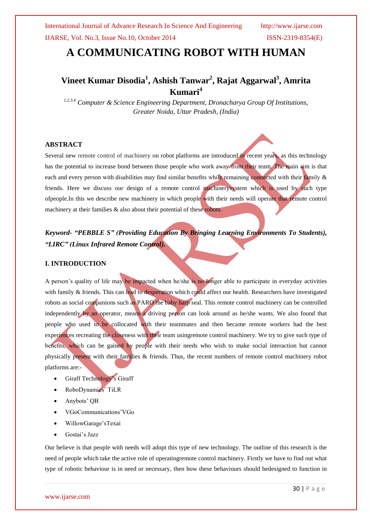# **A COMMUNICATING ROBOT WITH HUMAN**

# **Vineet Kumar Disodia<sup>1</sup> , Ashish Tanwar<sup>2</sup> , Rajat Aggarwal<sup>3</sup> , Amrita Kumari<sup>4</sup>**

*1,2,3,4 Computer & Science Engineering Department, Dronacharya Group Of Institutions, Greater Noida, Uttar Pradesh, (India)*

### **ABSTRACT**

Several new remote control of machinery on robot platforms are introduced in recent years, as this technology has the potential to increase bond between those people who work away from their team. The main aim is that each and every person with disabilities may find similar benefits while remaining connected with their family & friends. Here we discuss our design of a remote control machinerysystem which is used by such type ofpeople.In this we describe new machinery in which people with their needs will operate that remote control machinery at their families  $\&$  also about their potential of these robots.

*Keyword- "PEBBLE S" (Providing Education By Bringing Learning Environments To Students), "LIRC" (Linux Infrared Remote Control).*

## **I. INTRODUCTION**

A person's quality of life may be impacted when he/she is no longer able to participate in everyday activities with family & friends. This can lead to desperation which could affect our health. Researchers have investigated robots as social companions such as PARO the baby harp seal. This remote control machinery can be controlled independently by an operator, means a driving person can look around as he/she wants. We also found that people who used to be collocated with their teammates and then became remote workers had the best experiences recreating the closeness with their team usingremote control machinery. We try to give such type of benefits, which can be gained by people with their needs who wish to make social interaction but cannot physically present with their families & friends. Thus, the recent numbers of remote control machinery robot platforms are:-

- Giraff Technology's Giraff
- RoboDynamics' TiLR
- Anybots' QB
- VGoCommunications'VGo
- WillowGarage'sTexai
- Gostai's Jazz

Our believe is that people with needs will adopt this type of new technology. The outline of this research is the need of people which take the active role of operatingremote control machinery. Firstly we have to find out what type of robotic behaviour is in need or necessary, then how these behaviours should bedesigned to function in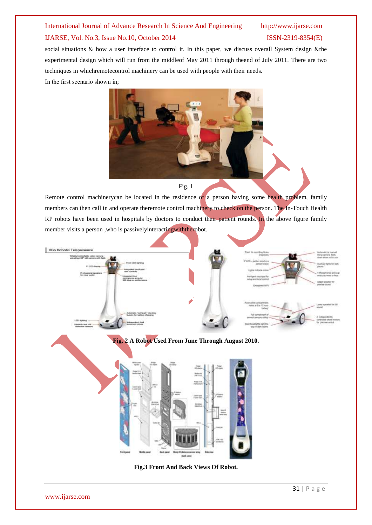social situations & how a user interface to control it. In this paper, we discuss overall System design &the experimental design which will run from the middleof May 2011 through theend of July 2011. There are two techniques in whichremotecontrol machinery can be used with people with their needs. In the first scenario shown in;



### Fig. 1

Remote control machinerycan be located in the residence of a person having some health problem, family members can then call in and operate theremote control machinery to check on the person. The In-Touch Health RP robots have been used in hospitals by doctors to conduct their patient rounds. In the above figure family member visits a person ,who is passivelyinteractingwiththerobot.





**Fig.3 Front And Back Views Of Robot.**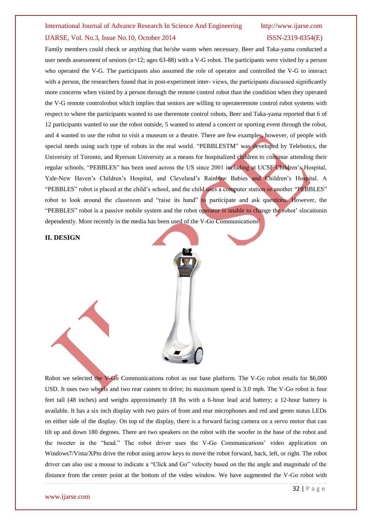Family members could check or anything that he/she wants when necessary. Beer and Taka-yama conducted a user needs assessment of seniors (n=12; ages 63-88) with a V-G robot. The participants were visited by a person who operated the V-G. The participants also assumed the role of operator and controlled the V-G to interact with a person, the researchers found that in post-experiment inter-views, the participants discussed significantly more concerns when visited by a person through the remote control robot than the condition when they operated the V-G remote controlrobot which implies that seniors are willing to operateremote control robot systems with respect to where the participants wanted to use theremote control robots, Beer and Taka-yama reported that 6 of 12 participants wanted to use the robot outside, 5 wanted to attend a concert or sporting event through the robot, and 4 wanted to use the robot to visit a museum or a theatre. There are few examples, however, of people with special needs using such type of robots in the real world. "PEBBLESTM" was developed by Telebotics, the University of Toronto, and Ryerson University as a means for hospitalized children to continue attending their regular schools. "PEBBLES" has been used across the US since 2001 including at UCSF Children's Hospital, Yale-New Haven's Children's Hospital, and Cleveland's Rainbow Babies and Children's Hospital. A "PEBBLES" robot is placed at the child's school, and the child uses a computer station or another "PEBBLES" robot to look around the classroom and "raise its hand" to participate and ask questions. However, the "PEBBLES" robot is a passive mobile system and the robot operator is unable to change the robot' slocationin dependently. More recently in the media has been used of the V-Go Communications'

**II. DESIGN**



Robot we selected the V-Go Communications robot as our base platform. The V-Go robot retails for \$6,000 USD. It uses two wheels and two rear casters to drive; its maximum speed is 3.0 mph. The V-Go robot is four feet tall (48 inches) and weighs approximately 18 lbs with a 6-hour lead acid battery; a 12-hour battery is available. It has a six inch display with two pairs of front and rear microphones and red and green status LEDs on either side of the display. On top of the display, there is a forward facing camera on a servo motor that can tilt up and down 180 degrees. There are two speakers on the robot with the woofer in the base of the robot and the tweeter in the "head." The robot driver uses the V-Go Communications' video application on Windows7/Vista/XPto drive the robot using arrow keys to move the robot forward, back, left, or right. The robot driver can also use a mouse to indicate a "Click and Go" velocity based on the the angle and magnitude of the distance from the center point at the bottom of the video window. We have augmented the V-Go robot with

### www.ijarse.com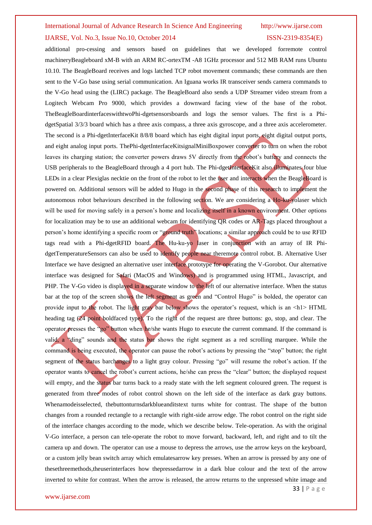additional pro-cessing and sensors based on guidelines that we developed forremote control machineryBeagleboard xM-B with an ARM RC-ortexTM -A8 1GHz processor and 512 MB RAM runs Ubuntu 10.10. The BeagleBoard receives and logs latched TCP robot movement commands; these commands are then sent to the V-Go base using serial communication. An Iguana works IR transceiver sends camera commands to the V-Go head using the (LIRC) package. The BeagleBoard also sends a UDP Streamer video stream from a Logitech Webcam Pro 9000, which provides a downward facing view of the base of the robot. TheBeagleBoardinterfaceswithtwoPhi-dgetsensorsboards and logs the sensor values. The first is a PhidgetSpatial 3/3/3 board which has a three axis compass, a three axis gyroscope, and a three axis accelerometer. The second is a Phi-dgetInterfaceKit 8/8/8 board which has eight digital input ports, eight digital output ports, and eight analog input ports. ThePhi-dgetInterfaceKitsignalMiniBoxpower converter to turn on when the robot leaves its charging station; the converter powers draws 5V directly from the robot's battery and connects the USB peripherals to the BeagleBoard through a 4 port hub. The Phi-dgetInterfaceKit also illuminates four blue LEDs in a clear Plexiglas necktie on the front of the robot to let the user and interacts when the BeagleBoard is powered on. Additional sensors will be added to Hugo in the second phase of this research to implement the autonomous robot behaviours described in the following section. We are considering a Ho-ku-yolaser which will be used for moving safely in a person's home and localizing itself in a known environment. Other options for localization may be to use an additional webcam for identifying QR codes or AR-Tags placed throughout a person's home identifying a specific room or "ground truth" locations; a similar approach could be to use RFID tags read with a Phi-dgetRFID board. The Hu-ku-yo laser in conjunction with an array of IR PhidgetTemperatureSensors can also be used to identify people near theremote control robot. B. Alternative User Interface we have designed an alternative user interface prototype for operating the V-Gorobot. Our alternative interface was designed for Safari (MacOS and Windows) and is programmed using HTML, Javascript, and PHP. The V-Go video is displayed in a separate window to the left of our alternative interface. When the status bar at the top of the screen shows the left segment as green and "Control Hugo" is bolded, the operator can provide input to the robot. The light gray bar below shows the operator's request, which is an  $\langle h \rangle$  HTML heading tag (24 point boldfaced type). To the right of the request are three buttons: go, stop, and clear. The operator presses the "go" button when he/she wants Hugo to execute the current command. If the command is valid, a "ding" sounds and the status bar shows the right segment as a red scrolling marquee. While the command is being executed, the operator can pause the robot's actions by pressing the "stop" button; the right segment of the status barchanges to a light gray colour. Pressing "go" will resume the robot's action. If the operator wants to cancel the robot's current actions, he/she can press the "clear" button; the displayed request will empty, and the status bar turns back to a ready state with the left segment coloured green. The request is generated from three modes of robot control shown on the left side of the interface as dark gray buttons. Whenamodeisselected, thebuttonturnsdarkblueanditstext turns white for contrast. The shape of the button changes from a rounded rectangle to a rectangle with right-side arrow edge. The robot control on the right side of the interface changes according to the mode, which we describe below. Tele-operation. As with the original V-Go interface, a person can tele-operate the robot to move forward, backward, left, and right and to tilt the camera up and down. The operator can use a mouse to depress the arrows, use the arrow keys on the keyboard, or a custom jelly bean switch array which emulatesarrow key presses. When an arrow is pressed by any one of thesethreemethods,theuserinterfaces how thepressedarrow in a dark blue colour and the text of the arrow inverted to white for contrast. When the arrow is released, the arrow returns to the unpressed white image and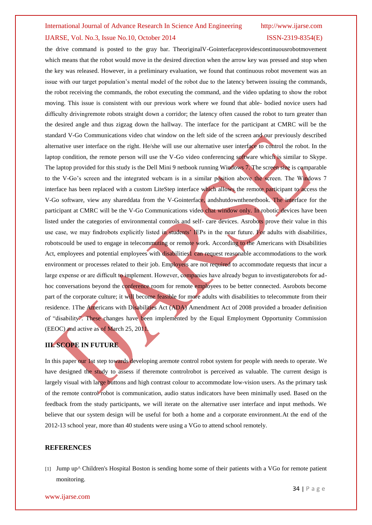the drive command is posted to the gray bar. TheoriginalV-Gointerfaceprovidescontinuousrobotmovement which means that the robot would move in the desired direction when the arrow key was pressed and stop when the key was released. However, in a preliminary evaluation, we found that continuous robot movement was an issue with our target population's mental model of the robot due to the latency between issuing the commands, the robot receiving the commands, the robot executing the command, and the video updating to show the robot moving. This issue is consistent with our previous work where we found that able- bodied novice users had difficulty drivingremote robots straight down a corridor; the latency often caused the robot to turn greater than the desired angle and thus zigzag down the hallway. The interface for the participant at CMRC will be the standard V-Go Communications video chat window on the left side of the screen and our previously described alternative user interface on the right. He/she will use our alternative user interface to control the robot. In the laptop condition, the remote person will use the V-Go video conferencing software which is similar to Skype. The laptop provided for this study is the Dell Mini 9 netbook running Windows 7. The screen size is comparable to the V-Go's screen and the integrated webcam is in a similar position above the screen. The Windows 7 interface has been replaced with a custom LiteStep interface which allows the remote participant to access the V-Go software, view any shareddata from the V-Gointerface, andshutdownthenetbook. The interface for the participant at CMRC will be the V-Go Communications video chat window only. In robotic devices have been listed under the categories of environmental controls and self- care devices. Asrobots prove their value in this use case, we may findrobots explicitly listed in students' IEPs in the near future. For adults with disabilities, robotscould be used to engage in telecommuting or remote work. According to the Americans with Disabilities Act, employees and potential employees with disabilities1 can request reasonable accommodations to the work environment or processes related to their job. Employers are not required to accommodate requests that incur a large expense or are difficult to implement. However, companies have already begun to investigaterobots for adhoc conversations beyond the conference room for remote employees to be better connected. Asrobots become part of the corporate culture; it will become feasible for more adults with disabilities to telecommute from their residence. 1The Americans with Disabilities Act (ADA) Amendment Act of 2008 provided a broader definition of "disability". These changes have been implemented by the Equal Employment Opportunity Commission (EEOC) and active as of March 25, 2011.

### **III. SCOPE IN FUTURE**

In this paper our 1st step towards developing aremote control robot system for people with needs to operate. We have designed the study to assess if theremote controlrobot is perceived as valuable. The current design is largely visual with large buttons and high contrast colour to accommodate low-vision users. As the primary task of the remote control robot is communication, audio status indicators have been minimally used. Based on the feedback from the study participants, we will iterate on the alternative user interface and input methods. We believe that our system design will be useful for both a home and a corporate environment.At the end of the 2012-13 school year, more than 40 students were using a VGo to attend school remotely.

### **REFERENCES**

[1] [Jump up^](http://en.wikipedia.org/wiki/VGo_Communications#cite_ref-2) Children's Hospital Boston is sending home some of their patients with a VGo for remote patient monitoring.

### www.ijarse.com